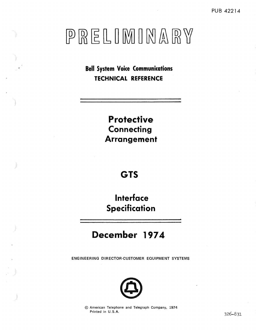**Bell System Voice Communications TECHNICAL REFERENCE** 

> **Protective Connecting Arrangement**

# **GTS**

**Interface Specification** 

# December 1974

ENGINEERING DIRECTOR-CUSTOMER EQUIPMENT SYSTEMS



© American Telephone and Telegraph Company, 1974 Printed in U.S.A.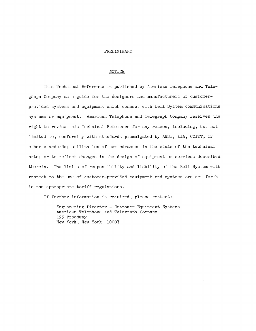#### NOTICE

This Technical Reference is published by American Telephone and Telegraph Company as a guide for the designers and manufacturers of customerprovided systems and equipment which connect with Bell System communications systems or equipment. American Telephone and Telegraph Company reserves the right to revise this Technical Reference for any reason, including, but not limited to, conformity with standards promulgated by ANSI, EIA, CCITT, or other standards; utilization of new advances in the state of the technical arts; or to reflect changes in the design of equipment or services described therein. The limits of responsibility and liability of the Bell System with respect to the use of customer--provided equipment and systems are set forth in the appropriate tariff regulations.

If further information is required, please contact:

Engineering Director - Customer Equipment Systems American Telephone and Telegraph Company 195 Broadway New York, New York 10007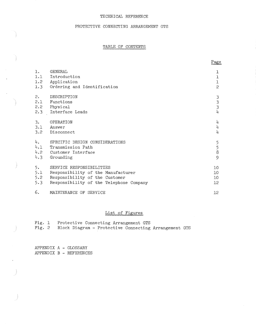#### TECHNICAL REFERENCE

#### PROTECTIVE CONNECTING ARRANGEMENT GTS

### TABLE OF CONTENTS

Page

| ı.<br>1.1<br>1.2<br>1.3 | GENERAL<br>Introduction<br>Application<br>Ordering and Identification                                                                       | 1<br>ı<br>$\mathbf 1$<br>2                      |
|-------------------------|---------------------------------------------------------------------------------------------------------------------------------------------|-------------------------------------------------|
| 2.<br>2.2               | DESCRIPTION<br>2.1 Functions<br>Physical<br>2.3 Interface Leads                                                                             | 3<br>$\begin{array}{c} 3 \\ 3 \\ 4 \end{array}$ |
| 3.<br>3.1<br>3.2        | OPERATION<br>Answer<br>Disconnect                                                                                                           | 4<br>4<br>$\frac{1}{4}$                         |
| 4.<br>4.1<br>4.2<br>4.3 | SPECIFIC DESIGN CONSIDERATIONS<br>Transmission Path<br>Customer Interface<br>Grounding                                                      | 5<br>$\frac{5}{8}$<br>9                         |
| 5.<br>5.1<br>5.2<br>5.3 | SERVICE RESPONSIBILITIES<br>Responsibility of the Manufacturer<br>Responsibility of the Customer<br>Responsibility of the Telephone Company | 10<br>10<br>10<br>$12 \overline{ }$             |
| 6.                      | MAINTENANCE OF SERVICE                                                                                                                      | 12                                              |

### List of Figures

Fig. 1 Fig. 2 Protective Connecting Arrangement GTS Block Diagram - Protective Connecting Arrangement GTS

APPENDIX A - GLOSSARY APPENDIX B - REFERENCES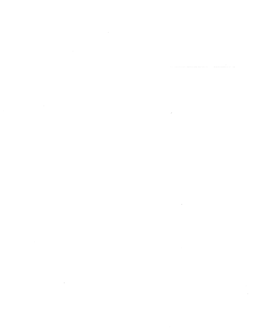$\label{eq:2.1} \frac{1}{\sqrt{2}}\int_{\mathbb{R}^3}\frac{1}{\sqrt{2}}\left(\frac{1}{\sqrt{2}}\right)^2\frac{1}{\sqrt{2}}\left(\frac{1}{\sqrt{2}}\right)^2\frac{1}{\sqrt{2}}\left(\frac{1}{\sqrt{2}}\right)^2\frac{1}{\sqrt{2}}\left(\frac{1}{\sqrt{2}}\right)^2\frac{1}{\sqrt{2}}\left(\frac{1}{\sqrt{2}}\right)^2\frac{1}{\sqrt{2}}\frac{1}{\sqrt{2}}\frac{1}{\sqrt{2}}\frac{1}{\sqrt{2}}\frac{1}{\sqrt{2}}\frac{1}{\sqrt{2}}$ 

 $\label{eq:2.1} \mathcal{L}(\mathcal{L}^{\mathcal{L}}_{\mathcal{L}}(\mathcal{L}^{\mathcal{L}}_{\mathcal{L}})) = \mathcal{L}(\mathcal{L}^{\mathcal{L}}_{\mathcal{L}}(\mathcal{L}^{\mathcal{L}}_{\mathcal{L}})) = \mathcal{L}(\mathcal{L}^{\mathcal{L}}_{\mathcal{L}}(\mathcal{L}^{\mathcal{L}}_{\mathcal{L}}))$ 

 $\label{eq:1} \mathcal{L}(\mathcal{L}(\mathcal{L}(\mathcal{L}(\mathcal{L}(\mathcal{L}(\mathcal{L}(\mathcal{L}(\mathcal{L}(\mathcal{L}(\mathcal{L}(\mathcal{L}(\mathcal{L}(\mathcal{L}(\mathcal{L}(\mathcal{L}(\mathcal{L}(\mathcal{L}(\mathcal{L}(\mathcal{L}(\mathcal{L}(\mathcal{L}(\mathcal{L}(\mathcal{L}(\mathcal{L}(\mathcal{L}(\mathcal{L}(\mathcal{L}(\mathcal{L}(\mathcal{L}(\mathcal{L}(\mathcal{L}(\mathcal{L}(\mathcal{L}(\mathcal{L}(\mathcal$ 

 $\mathcal{L}(\mathcal{L}^{\mathcal{L}})$  and  $\mathcal{L}(\mathcal{L}^{\mathcal{L}})$  and  $\mathcal{L}(\mathcal{L}^{\mathcal{L}})$ 

 $\label{eq:2.1} \frac{1}{\sqrt{2}}\int_{\mathbb{R}^3}\frac{1}{\sqrt{2}}\left(\frac{1}{\sqrt{2}}\right)^2\frac{1}{\sqrt{2}}\left(\frac{1}{\sqrt{2}}\right)^2\frac{1}{\sqrt{2}}\left(\frac{1}{\sqrt{2}}\right)^2.$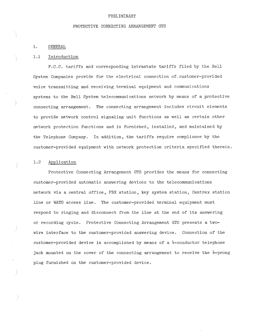PROTECTIVE CONNECTING ARRANGEMENT GTS

#### 1. GENERAL

#### 1.1 Introduction

F.C.C. tariffs and corresponding intrastate tariffs filed by the Bell System Companies provide for the electrical connection of, customer-provided voice transmitting and receiving terminal equipment and communications systems to the Bell System telecommunications network by means of a protective connecting arrangement. The connecting arrangement includes circuit elements to provide network control signaling unit functions as well as certain other network protection functions and is furnished, installed, and maintained by the Telephone Company. In addition, the tariffs require compliance by the customer-provided equipment with network protection criteria specified therein.

#### 1.2 Application

Protective Connecting Arrangement GTS provides the means for connecting customer-provided automatic answering devices to the telecommunications network via a central office, PBX station, key system station, Centrex station line or WATS access line. The customer-provided terminal equipment must respond to ringing and disconnect from the line at the end of its answering or recording cycle. Protective Connecting Arrangement GTS presents a twowire interface to the customer-provided answering device. Connection of the customer-provided device is accomplished by means of a 4-conductor telephone jack mounted on the cover of the connecting arrangement to receive the  $4$ -prong plug furnished on the customer-provided device.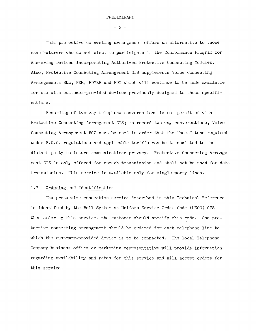$- 2 -$ 

This protective connecting arrangement offers an alternative to those manufacturers who do not elect to participate in the Conformance Program for Answering Devices Incorporating Authorized Protective Connecting Modules. Also, Protective Connecting Arrangement GTS supplements Voice Connecting Arrangements RDL, RDM, RDMZR and RDY which will continue to be made available for use with customer-provided devices previously designed to those specifications.

Recording of two-way telephone conversations is not permitted with Protective Connecting Arrangement GTS; to record two-way conversations, Voice Connecting Arrangement RCZ must be used in order that the "beep" tone required under F.C.C. regulations and applicable tariffs can be transmitted to the distant party to insure communications privacy. Protective Connecting Arrangement GTS is only offered for speech transmission and shall not be used for data transmission. This service is available only for single-party lines.

#### 1.3 Ordering and Identification

The protective connection service described in this Technical Reference is identified by the Bell System as Uniform Service Order Code (USOC) GTS. When ordering this service, the customer should specify this code. One protective connecting arrangement should be ordered for each telephone line to which the customer-provided device is to be connected. The local Telephone Company business office or marketing representative will provide information regarding availability and rates for this service and will accept orders for this service.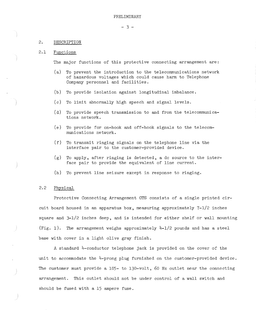#### 2. DESCRIPTION

#### 2.1 Functions

The major functions of this protective connecting arrangement are:

- (a) To prevent the introduction to the telecommunications network of hazardous voltages which could cause harm to Telephone Company personnel and facilities.
- (b) To provide isolation against longitudinal imbalance.
- (c) To limit abnormally high speech and signal levels.
- (d) To provide speech transmission to and from the telecommunications network.
- (e) To provide for on-hook and off-hook signals to the telecommunications network.
- (f) To transmit ringing signals on the telephone line via the interface pair to the customer-provided device.
- (g) To apply, after ringing is detected, a de source to the interface pair to provide the equivalent of line current.
- (h) To prevent line seizure except in response to ringing.

#### 2.2 Physical

Protective Connecting Arrangement GTS consists of a single printed circuit board housed in an apparatus box, measuring approximately  $7-1/2$  inches square and 3-1/2 inches deep, and is intended for either shelf or wall mounting (Fig. 1). The arrangement weighs approximately  $4-1/2$  pounds and has a steel base with cover in a light olive gray finish.

A standard 4-conductor telephone jack is provided on the cover of the unit to accommodate the  $4$ -prong plug furnished on the customer-provided device. The customer must provide a 105- to 130-volt, 60 Hz outlet near the connecting arrangement. This outlet should not be under control of a wall switch and should be fused with a 15 ampere fuse.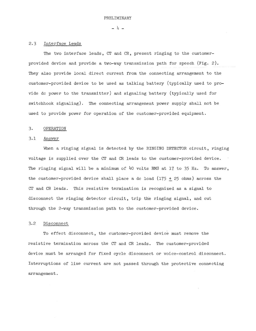$- 4 -$ 

#### 2.3 Interface Leads

The two interface leads, CT and CR, present ringing to the customerprovided device and provide a two-way transmission path for speech (Fig. 2). They also provide local direct current from the connecting arrangement to the customer-provided device to be used as talking battery (typically used to provide de power to the transmitter) and signaling battery (typically used for switchhook signaling). The connecting arrangement power supply shall not be used to provide power for operation of the customer-provided equipment.

#### 3. OPERATION

#### 3.1 Answer

When a ringing signal is detected by the RINGING DETECTOR circuit, ringing voltage is supplied over the CT and CR leads to the customer-provided device. The ringing signal will be a minimum of 40 volts RMS at 17 to 35 Hz. To answer, the customer-provided device shall place a dc load  $(175 + 25)$  ohms) across the CT and CR leads. This resistive termination is recognized as a signal to disconnect the ringing detector circuit, trip the ringing signal, and cut through the 2-way transmission path to the customer-provided device.

#### 3.2 Disconnect

To effect disconnect, the customer-provided device must remove the resistive termination across the CT and CR leads. The customer-provided device must be arranged for fixed cycle disconnect or voice-control disconnect. Interruptions of line current are not passed through the protective connecting arrangement.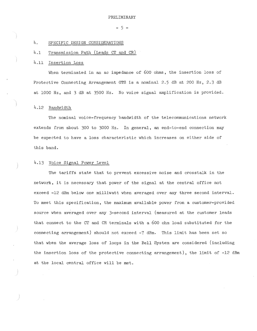$- 5 -$ 

#### 4. SPECIFIC DESIGN CONSIDERATIONS

#### 4.1 Transmission Path (Leads CT and CR)

#### 4.11 Insertion Loss

When terminated in an ac impedance of 600 ohms, the insertion loss of Protective Connecting Arrangement GTS is a nominal 2,5 dB at 200 Hz, 2.3 dB at 1000 Hz, and 3 dB at 3500 Hz. No voice signal amplification is provided.

#### 4 .12 Bandwidth

The nominal voice-frequency bandwidth of the telecommunications network extends from about 300 to 3000 Hz. In general, an end-to-end connection may be expected to have a loss characteristic which increases on either side of this band.

#### 4.13 Voice Signal Power Level

The tariffs state that to prevent excessive noise and crosstalk in the network, it is necessary that power of the signal at the central office not exceed -12 dBm below one milliwatt when averaged over any three second interval. To meet this specification, the maximum available power from a customer-provided source when averaged over any 3-second interval (measured at the customer leads that connect to the CT and CR terminals with a 600 ohm load substituted for the connecting arrangement) should not exceed -7 dBm. This limit has been set so that when the average loss of loops in the Bell System are considered (including the insertion loss of the protective connecting arrangement), the limit of -12 dBm at the local central office will be met.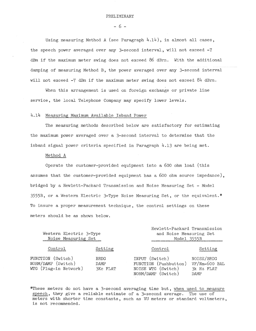#### - 6 -

Using measuring Method A (see Paragraph  $4.14$ ), in almost all cases, the speech power averaged over any 3-second interval, will not exceed -7 dBm if the maximum meter swing does not exceed 86 dBrn. With the additional damping of measuring Method B, the power averaged over any 3-second interval will not exceed  $-7$  dBm if the maximum meter swing does not exceed  $84$  dBrn.

When this arrangement is used on foreign exchange or private line service, the local Telephone Company may specify lower levels.

#### 4.14 Measuring Maximum Available Inband Power

The measuring methods described below are satisfactory for estimating the maximum power averaged over a 3-second interval to determine that the inband signal power criteria specified in Paragraph  $4.13$  are being met.

#### Method A

Operate the customer-provided equipment into a 600 ohm load (this assumes that the customer-provided equipment has a 600 ohm source impedance), bridged by a Hewlett-Packard Transmission and Noise Measuring Set - Model 3555B, or a Western Electric 3-Type Noise Measuring Set, or the equivalent.\* To insure a proper measurement technique, the control settings on these meters should be as shown below.

| Western Electric 3-Type<br>Noise Measuring Set                   |                                 | Hewlett-Packard Transmission<br>and Noise Measuring Set<br>Model 3555B              |                                                   |  |
|------------------------------------------------------------------|---------------------------------|-------------------------------------------------------------------------------------|---------------------------------------------------|--|
| Control                                                          | Setting                         | Control                                                                             | Setting                                           |  |
| FUNCTION (Switch)<br>NORM/DAMP (Switch)<br>WTG (Plug-in Network) | <b>BRDG</b><br>DAMP<br>3Kc FLAT | INPUT (Switch)<br>FUNCTION (Pushbutton)<br>NOISE WTG (Switch)<br>NORM/DAMP (Switch) | NOISE/BRDG<br>VF/Nm-600 BAL<br>3k Hz FLAT<br>DAMP |  |

\*These meters do not have a 3-second averaging time but, when used to measure speech, they give a reliable estimate of a 3-second average. The use of meters with shorter time constants, such as VU meters or standard voltmeters, is not recommended.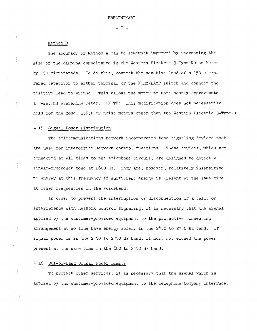- 7 -

#### Method B

The accuracy of Method A can be somewhat improved by increasing the size of the damping capacitance in the Western Electric 3-Type Noise Meter by 150 microfarads. To do this, connect the negative lead of a 150 microfarad capacitor to either terminal of the NORM/DAMP switch and connect the positive lead to ground. This allows the meter to more nearly approximate a 3-second averaging meter. (NOTE: This modification does not necessarily hold for the Model 3555B or noise meters other than the Western Electric 3-Type.)

#### 4.15 Signal Power Distribution

The telecommunications network incorporates tone signaling devices that are used for interoffice network control functions. These devices, which are connected at all times to the telephone circuit, are designed to detect a single-frequency tone at 2600 Hz. They are, however, relatively insensitive to energy at this frequency if sufficient energy is present at the same time at other frequencies in the voiceband.

In order to prevent the interruption or disconnection of a call, or interference with network control signaling, it is necessary that the signal applied by the customer-provided equipment to the protective connecting arrangement at no time have energy solely in the 2450 to 2750 Hz band. If signal power is in the 2450 to 2750 Hz band, it must not exceed the power present at the same time in the 800 to 2450 'Hz band.

#### 4.16 Out-of-Band Signal Power Limits

To protect other services, it is necessary that the signal which is applied by the customer-provided equipment to the Telephone Company interface,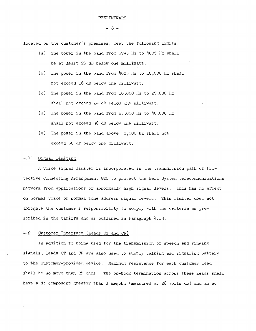$- 8 -$ 

located on the customer's premises, meet the following limits:

- (a) The power in the band from 3995 Hz to 4005 Hz shall be at least 26 dB below one milliwatt.
- (b) The power in the band from 4005 Hz to 10,000 Hz shall not exceed 16 dB below one milliwatt.
- (c) The power in the band from 10,000 Hz to 25,000 Hz shall not exceed 24 dB below one milliwatt.
- (d) The power in the band from 25,000 Hz to 40,000 Hz shall not exceed 36 dB below one milliwatt.
- (e) The power in the band above 40,000 Hz shall not exceed 50 dB below one milliwatt.

#### 4.17 Signal Limiting

A voice signal limiter is incorporated in the transmission path of Protective Connecting Arrangement GTS to protect the Bell System telecommunications network from applications of abnormally high signal levels. This has no effect on normal voice or normal tone address signal levels. This limiter does not abrogate the customer's responsibility to comply with the criteria as prescribed in the tariffs and as outlined in Paragraph 4.13.

#### 4.2 Customer Interface (Leads CT and CR)

In addition to being used for the transmission of speech and ringing signals, leads CT and CR are also used to supply talking and signaling battery to the customer-provided device. Maximum resistance for each customer lead shall be no more than 25 ohms. The on-hook termination across these leads shall have a de component greater than 1 megohm (measured at 28 volts de) and an ac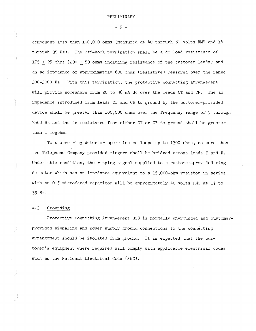- 9 -

component less than 100,000 ohms (measured at 40 through 80 volts RMS and 16 through 35 Hz). The off-hook termination shall be a de load resistance of 175  $\pm$  25 ohms (200  $\pm$  50 ohms including resistance of the customer leads) and an ac impedance of approximately 600 ohms (resistive) measured over the range 300-3000 Hz. With this termination, the protective connecting arrangement will provide somewhere from 20 to 36 mA de over the leads CT and CR. The ac impedance introduced from leads CT and CR to ground by the customer-provided device shall be greater than 100,000 ohms over the frequency range of 5 through 3500 Hz and the de resistance from either CT or CR to ground shall be greater than 1 megohm.

To assure ring detector operation on loops up to 1300 ohms, no more than two Telephone Company-provided ringers shall be bridged across leads T and R. Under this condition, the ringing signal supplied to a customer-provided ring detector which has an impedance equivalent to a 15,000-ohm resistor in series with an 0.5 microfarad capacitor will be approximately 40 volts RMS at 17 to 35 Hz.

#### 4,3 Grounding

Protective Connecting Arrangement GTS is normally ungrounded and customerprovided signaling and power supply ground connections to the connecting arrangement should be isolated from ground. It is expected that the customer's equipment where required will comply with applicable electrical codes such as the National Electrical Code (NEC).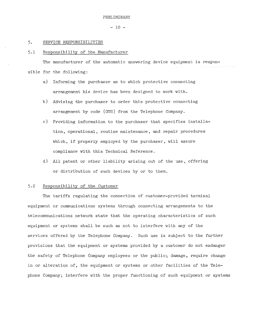$- 10 -$ 

#### 5. SERVICE RESPONSIBILITIES

5.1 Responsibility of the Manufacturer

The manufacturer of the automatic answering device equipment is respon-

sible for the following:

- a) Informing the purchaser as to which protective connecting arrangement his device has been designed to work with.
- b) Advising the purchaser to order this protective connecting arrangement by code (GTS) from the Telephone Company.
- c) Providing information to the purchaser that specifies installation, operational, routine maintenance, and repair procedures which, if properly employed by the purchaser, will assure compliance with this Technical Reference.
- d) All patent or other liability arising out of the use, offering or distribution of such devices by or to them.

#### 5.2 Responsibility of the Customer

The tariffs regulating the connection of customer-provided terminal equipment or communications systems through connecting arrangements to the telecommunications network state that the operating characteristics of such equipment or systems shall be such as not to interfere with any of the services offered by the Telephone Company. Such use is subject to the further provisions that the equipment or systems provided by a customer do not endanger the safety of Telephone Company employees or the public; damage, require change in or alteration of, the equipment or systems or other facilities of the Telephone Company; interfere with the proper functioning of such equipment or systems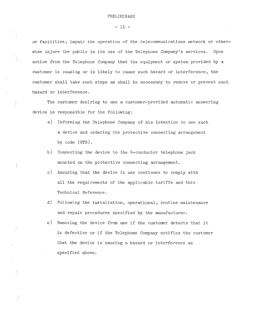- 11 -

or facilities; impair the operation of the telecommunications network or otherwise injure the public in its use of the Telephone Company's services. Upon notice from the Telephone Company that the equipment or system provided by a customer is causing or is likely to cause such hazard or interference, the customer shall take such steps as shall be necessary to remove or prevent such hazard or interference.

The customer desiring to use a customer-provided automatic answering device is responsible for the following:

- a) Informing the Telephone Company of his intention to use such a device and ordering the protective connecting arrangement by code (GTS).
- b) Connecting the device to the 4-conductor telephone jack mounted on the protective connecting arrangement.
- c) Assuring that the device in use continues to comply with all the requirements of the applicable tariffs and this Technical Reference.
- d) Following the installation, operational, routine maintenance and repair procedures specified by the manufacturer.
- e) Removing the device from use if the customer detects that it is defective or if the Telephone Company notifies the customer that the device is causing a hazard or interference as specified above.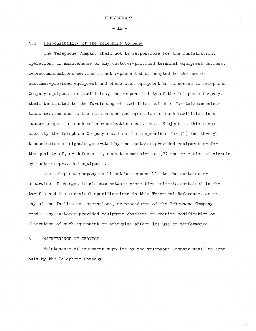- 12 -

#### 5,3 Responsibility of the Telephone Company

The Telephone Company shall not be responsible for the installation, operation, or maintenance of any customer-provided terminal equipment devices. Telecommunications service is not represented as adapted to the use of customer-provided equipment and where such equipment is connected to Telephone Company equipment or facilities, the responsibility of the Telephone Company shall be limited to the furnishing of facilities suitable for telecommunications service and to the maintenance and operation of such facilities in a manner proper for such telecommunications services. Subject to this responsibility the Telephone Company shall not be responsible for (1) the through transmission of signals generated by the customer-provided equipment or for the quality of, or defects in, such transmission or (2) the reception of signals by customer-provided equipment.

The Telephone Company shall not be responsible to the customer or otherwise if changes in minimum network protection criteria contained in the tariffs and the technical specifications in this Technical Reference, or in any of the facilities, operations, or procedures of the Telephone Company render any customer-provided equipment obsolete or require modification or alteration of such equipment or otherwise affect its use or performance.

### 6. MAINTENANCE OF SERVICE

Maintenance of equipment supplied by the Telephone Company shall be done only by the Telephone Company.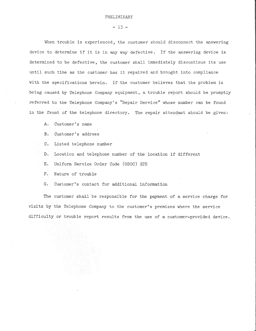When trouble is experienced, the customer should disconnect the answering device to determine if it is in any way defective. If the answering device is determined to be defective, the customer shall immediately discontinue its use until such time as the customer has it repaired and brought into compliance with the specifications herein. If the customer believes that the problem is being caused by Telephone Company equipment, a trouble report should be promptly referred to the Telephone Company's "Repair Service" whose number can be found in the front of the telephone directory. The repair attendant should be given:

A. Customer's name

B. Customer's address

C. Listed telephone number

D. Location and telephone number of the location if different

E. Uniform Service Order Code (USOC) GTS

F. Nature of trouble

G. Customer's contact for additional information

The customer shall be responsible for the payment of a service charge for visits by the Telephone Company to the customer's premises where the service difficulty or trouble report results from the use of a customer-provided device.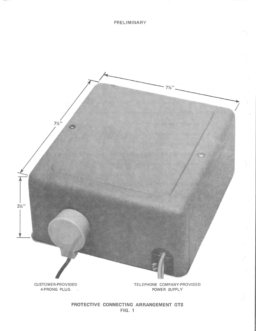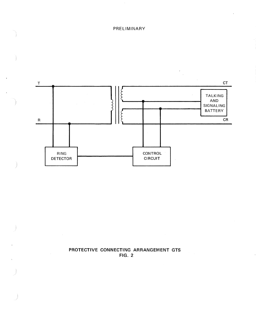$\bar{z}$ 



## **PROTECTIVE CONNECTING ARRANGEMENT GTS FIG. 2**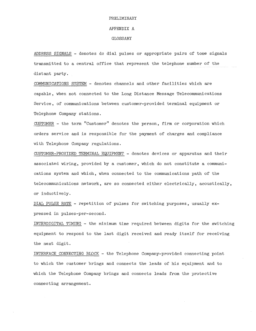#### APPENDIX A

#### GLOSSARY

ADDRESS SIGNALS - denotes de dial pulses or appropriate pairs of tone signals transmitted to a central office that represent the telephone number of the distant party.

COMMUNICATIONS SYSTEM - denotes channels and other facilities which are capable, when not connected to the Long Distance Message Telecommunications Service, of communications between customer-provided terminal equipment or Telephone Company stations.

CUSTOMER - the term "Customer" denotes the person, firm or corporation which orders service and is responsible for the payment of charges and compliance with Telephone Company regulations.

CUSTOMER-PROVIDED TERMINAL EQUIPMENT - denotes devices or apparatus and their associated wiring, provided by a customer, which do not constitute a communications system and which, when connected to the communications path of the telecommunications network, are so connected either electrically, acoustically, or inductively.

DIAL PULSE RATE - repetition of pulses for switching purposes, usually expressed in pulses-per-second.

INTERDIGITAL TIMING - the minimum time required between digits for the switching equipment to respond to the last digit received and ready itself for receiving the next digit.

INTERFACE CONNECTING BLOCK - the Telephone Company-provided connecting point to which the customer brings and connects the leads of his equipment and to which the Telephone Company brings and connects leads from the protective connecting arrangement.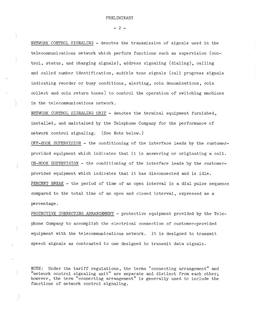- 2 -

NETWORK CONTROL SIGNALING - denotes the transmission of signals used in the telecommunications network which perform functions such as supervision (control, status, and charging signals), address signaling (dialing), calling and called number identification, audible tone signals (call progress signals indicating reorder or busy conditions, alerting, coin denominations, coin collect and coin return tones) to control the operation of switching machines in the telecommunications network.

NETWORK CONTROL SIGNALING UNIT - denotes the terminal equipment furnished, installed, and maintained by the Telephone Company for the performance of network control signaling. (See Note below.)

OFF-HOOK SUPERVISION - the conditioning of the interface leads by the customerprovided equipment which indicates that it is answering or originating a call. ON-HOOK SUPERVISION - the conditioning of the interface leads by the customerprovided equipment which indicates that it has disconnected and is idle. PERCENT BREAK - the period of time of an open interval in a dial pulse sequence compared to the total time of an open and closed interval, expressed as a percentage.

PROTECTIVE CONNECTING ARRANGEMENT - protective equipment provided by the Telephone Company to accomplish the electrical connection of customer-provided equipment with the telecommunications network. It is designed to transmit speech signals as contrasted to one designed to transmit data signals.

NOTE: Under the tariff regulations, the terms "connecting arrangement" and "network control signaling unit" are separate and distinct from each other; however, the term "connecting arrangement" is generally used to include the functions of network control signaling.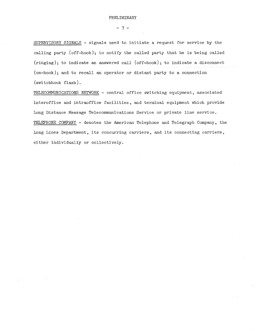$- 3 -$ 

SUPERVISORY SIGNALS - signals used to initiate a request for service by the calling party (off-hook); to notify the called party that he is being called (ringing); to indicate an answered call (off-hook); to indicate a disconnect (on-hook); and to recall an operator or distant party to a connection (switchhook flash).

TELECOMMUNICATIONS NETWORK - central office switching equipment, associated interoffice and intraoffice facilities, and terminal equipment which provide Long Distance Message Telecommunications Service or private line service. TELEPHONE COMPANY - denotes the American Telephone and Telegraph Company, the Long Lines Department, its concurring carriers, and its connecting carriers, either individually or collectively.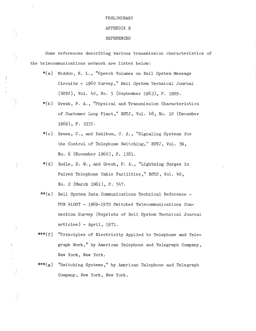#### APPENDIX B

#### REFERENCES

Some references describing various transmission characteristics of the telecommunications network are listed below:

- \*( a) McAdoo, K. L., "Speech Volumes on Bell System Message Circuits - 1960 Survey," Bell System Technical Journal (BSTJ), Vol. 42, No. 5 (September 1963), P. 1999.
- \*(b) Gresh, P. A., "Physical and Transmission Characteristics of Customer Loop Plant," BSTJ, Vol. 48, No. 10 (December 1969) , P. 3337.
- \* ( c) Breen, C. , and Dahlbom, C. A. , "Signaling Systems for the Control of Telephone Switching," BSTJ, Vol. 39, No. 6 (November 1960), P. 1381.
- \*(d) Bodle, D. W., and Gresh, P. A., "Lightning Surges in Paired Telephone Cable Facilities," BSTJ, Vol. 40, No. 2 (March 1961), P. 547.
- \*\*(e) Bell System Data Communications Technical Reference PUB 41007 - 1969-1970 Switched Telecommunications Connection Survey (Reprints of Bell System Technical Journal articles) - April, 1971.
- \*\*\*( f) "Principles of Electricity Applied to Telephone and Telegraph Work," by American Telephone and Telegraph Company, New York, New York.
- \*\*\*(g) "Switching Systems," by American Telephone and Telegraph Company, New York, New York.